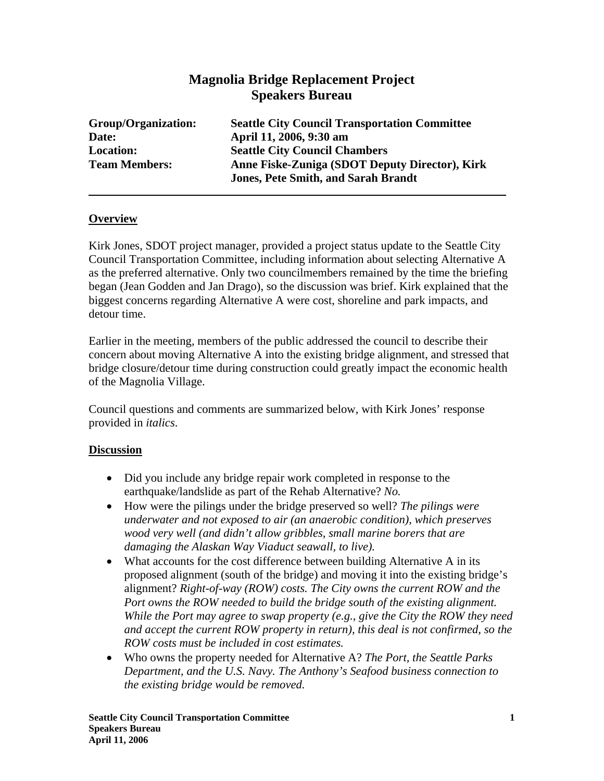## **Magnolia Bridge Replacement Project Speakers Bureau**

| Group/Organization:  | <b>Seattle City Council Transportation Committee</b> |
|----------------------|------------------------------------------------------|
| Date:                | April 11, 2006, 9:30 am                              |
| <b>Location:</b>     | <b>Seattle City Council Chambers</b>                 |
| <b>Team Members:</b> | Anne Fiske-Zuniga (SDOT Deputy Director), Kirk       |
|                      | <b>Jones, Pete Smith, and Sarah Brandt</b>           |

## **Overview**

Kirk Jones, SDOT project manager, provided a project status update to the Seattle City Council Transportation Committee, including information about selecting Alternative A as the preferred alternative. Only two councilmembers remained by the time the briefing began (Jean Godden and Jan Drago), so the discussion was brief. Kirk explained that the biggest concerns regarding Alternative A were cost, shoreline and park impacts, and detour time.

Earlier in the meeting, members of the public addressed the council to describe their concern about moving Alternative A into the existing bridge alignment, and stressed that bridge closure/detour time during construction could greatly impact the economic health of the Magnolia Village.

Council questions and comments are summarized below, with Kirk Jones' response provided in *italics*.

## **Discussion**

- Did you include any bridge repair work completed in response to the earthquake/landslide as part of the Rehab Alternative? *No.*
- How were the pilings under the bridge preserved so well? *The pilings were underwater and not exposed to air (an anaerobic condition), which preserves wood very well (and didn't allow gribbles, small marine borers that are damaging the Alaskan Way Viaduct seawall, to live).*
- What accounts for the cost difference between building Alternative A in its proposed alignment (south of the bridge) and moving it into the existing bridge's alignment? *Right-of-way (ROW) costs. The City owns the current ROW and the Port owns the ROW needed to build the bridge south of the existing alignment. While the Port may agree to swap property (e.g., give the City the ROW they need and accept the current ROW property in return), this deal is not confirmed, so the ROW costs must be included in cost estimates.*
- Who owns the property needed for Alternative A? *The Port, the Seattle Parks Department, and the U.S. Navy. The Anthony's Seafood business connection to the existing bridge would be removed.*